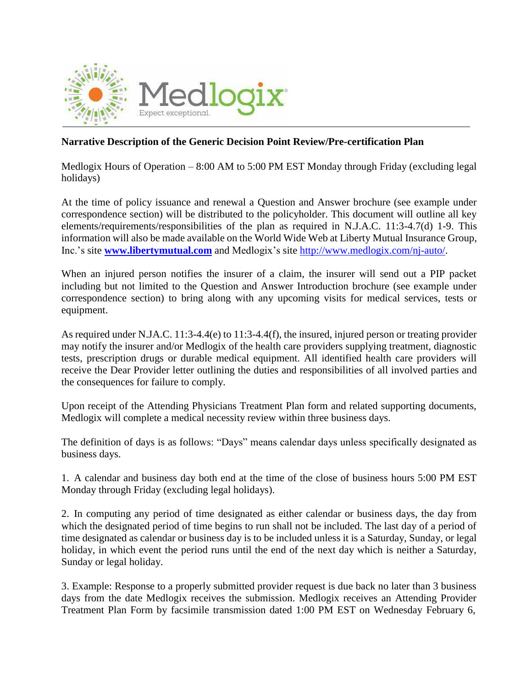

## **Narrative Description of the Generic Decision Point Review/Pre-certification Plan**

Medlogix Hours of Operation – 8:00 AM to 5:00 PM EST Monday through Friday (excluding legal holidays)

At the time of policy issuance and renewal a Question and Answer brochure (see example under correspondence section) will be distributed to the policyholder. This document will outline all key elements/requirements/responsibilities of the plan as required in N.J.A.C. 11:3-4.7(d) 1-9. This information will also be made available on the World Wide Web at Liberty Mutual Insurance Group, Inc.'s site **[www.libertymutual.com](http://www.libertymutual.com/)** and Medlogix's site [http://www.medlogix.com/nj-auto/.](http://www.medlogix.com/nj-auto/)

When an injured person notifies the insurer of a claim, the insurer will send out a PIP packet including but not limited to the Question and Answer Introduction brochure (see example under correspondence section) to bring along with any upcoming visits for medical services, tests or equipment.

As required under N.JA.C. 11:3-4.4(e) to 11:3-4.4(f), the insured, injured person or treating provider may notify the insurer and/or Medlogix of the health care providers supplying treatment, diagnostic tests, prescription drugs or durable medical equipment. All identified health care providers will receive the Dear Provider letter outlining the duties and responsibilities of all involved parties and the consequences for failure to comply.

Upon receipt of the Attending Physicians Treatment Plan form and related supporting documents, Medlogix will complete a medical necessity review within three business days.

The definition of days is as follows: "Days" means calendar days unless specifically designated as business days.

1. A calendar and business day both end at the time of the close of business hours 5:00 PM EST Monday through Friday (excluding legal holidays).

2. In computing any period of time designated as either calendar or business days, the day from which the designated period of time begins to run shall not be included. The last day of a period of time designated as calendar or business day is to be included unless it is a Saturday, Sunday, or legal holiday, in which event the period runs until the end of the next day which is neither a Saturday, Sunday or legal holiday.

3. Example: Response to a properly submitted provider request is due back no later than 3 business days from the date Medlogix receives the submission. Medlogix receives an Attending Provider Treatment Plan Form by facsimile transmission dated 1:00 PM EST on Wednesday February 6,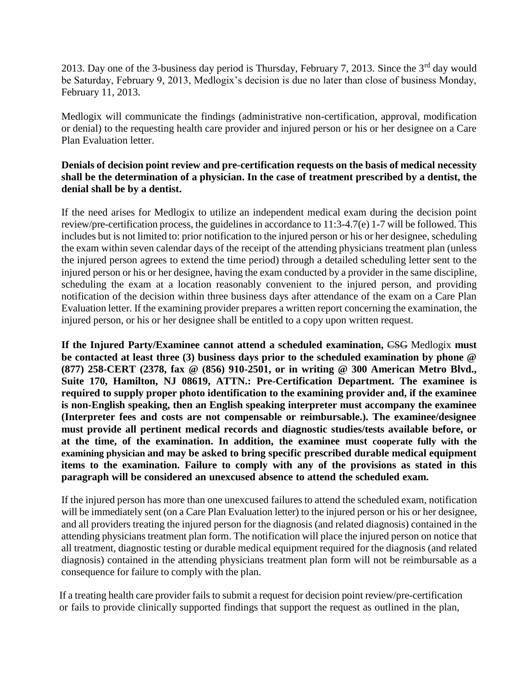2013. Day one of the 3-business day period is Thursday, February 7, 2013. Since the 3<sup>rd</sup> day would be Saturday, February 9, 2013, Medlogix's decision is due no later than close of business Monday, February 11, 2013.

Medlogix will communicate the findings (administrative non-certification, approval, modification or denial) to the requesting health care provider and injured person or his or her designee on a Care Plan Evaluation letter.

## **Denials of decision point review and pre-certification requests on the basis of medical necessity shall be the determination of a physician. In the case of treatment prescribed by a dentist, the denial shall be by a dentist.**

If the need arises for Medlogix to utilize an independent medical exam during the decision point review/pre-certification process, the guidelines in accordance to 11:3-4.7(e) 1-7 will be followed. This includes but is not limited to: prior notification to the injured person or his or her designee, scheduling the exam within seven calendar days of the receipt of the attending physicians treatment plan (unless the injured person agrees to extend the time period) through a detailed scheduling letter sent to the injured person or his or her designee, having the exam conducted by a provider in the same discipline, scheduling the exam at a location reasonably convenient to the injured person, and providing notification of the decision within three business days after attendance of the exam on a Care Plan Evaluation letter. If the examining provider prepares a written report concerning the examination, the injured person, or his or her designee shall be entitled to a copy upon written request.

**If the Injured Party/Examinee cannot attend a scheduled examination,** CSG Medlogix **must be contacted at least three (3) business days prior to the scheduled examination by phone @ (877) 258-CERT (2378, fax @ (856) 910-2501, or in writing @ 300 American Metro Blvd., Suite 170, Hamilton, NJ 08619, ATTN.: Pre-Certification Department. The examinee is required to supply proper photo identification to the examining provider and, if the examinee is non-English speaking, then an English speaking interpreter must accompany the examinee (Interpreter fees and costs are not compensable or reimbursable.). The examinee/designee must provide all pertinent medical records and diagnostic studies/tests available before, or at the time, of the examination. In addition, the examinee must cooperate fully with the examining physician and may be asked to bring specific prescribed durable medical equipment items to the examination. Failure to comply with any of the provisions as stated in this paragraph will be considered an unexcused absence to attend the scheduled exam.**

If the injured person has more than one unexcused failures to attend the scheduled exam, notification will be immediately sent (on a Care Plan Evaluation letter) to the injured person or his or her designee, and all providers treating the injured person for the diagnosis (and related diagnosis) contained in the attending physicians treatment plan form. The notification will place the injured person on notice that all treatment, diagnostic testing or durable medical equipment required for the diagnosis (and related diagnosis) contained in the attending physicians treatment plan form will not be reimbursable as a consequence for failure to comply with the plan.

If a treating health care provider fails to submit a request for decision point review/pre-certification or fails to provide clinically supported findings that support the request as outlined in the plan,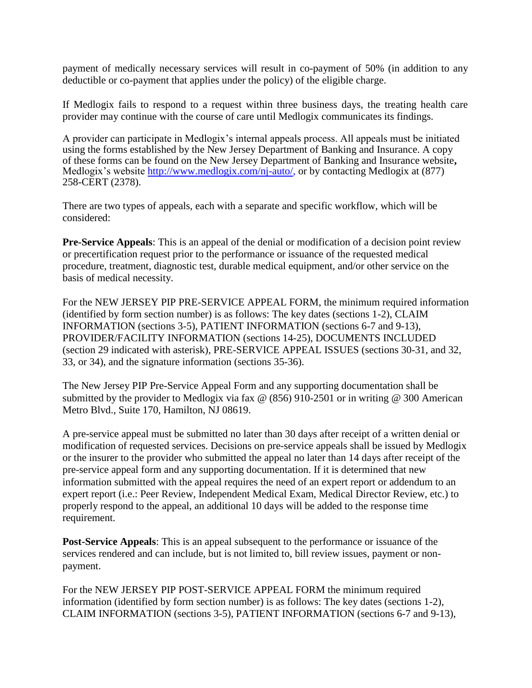payment of medically necessary services will result in co-payment of 50% (in addition to any deductible or co-payment that applies under the policy) of the eligible charge.

If Medlogix fails to respond to a request within three business days, the treating health care provider may continue with the course of care until Medlogix communicates its findings.

A provider can participate in Medlogix's internal appeals process. All appeals must be initiated using the forms established by the New Jersey Department of Banking and Insurance. A copy of these forms can be found on the New Jersey Department of Banking and Insurance website**,** Medlogix's website [http://www.medlogix.com/nj-auto/,](http://www.medlogix.com/nj-auto/) or by contacting Medlogix at (877) 258-CERT (2378).

There are two types of appeals, each with a separate and specific workflow, which will be considered:

**Pre-Service Appeals**: This is an appeal of the denial or modification of a decision point review or precertification request prior to the performance or issuance of the requested medical procedure, treatment, diagnostic test, durable medical equipment, and/or other service on the basis of medical necessity.

For the NEW JERSEY PIP PRE-SERVICE APPEAL FORM, the minimum required information (identified by form section number) is as follows: The key dates (sections 1-2), CLAIM INFORMATION (sections 3-5), PATIENT INFORMATION (sections 6-7 and 9-13), PROVIDER/FACILITY INFORMATION (sections 14-25), DOCUMENTS INCLUDED (section 29 indicated with asterisk), PRE-SERVICE APPEAL ISSUES (sections 30-31, and 32, 33, or 34), and the signature information (sections 35-36).

The New Jersey PIP Pre-Service Appeal Form and any supporting documentation shall be submitted by the provider to Medlogix via fax @ (856) 910-2501 or in writing @ 300 American Metro Blvd., Suite 170, Hamilton, NJ 08619.

A pre-service appeal must be submitted no later than 30 days after receipt of a written denial or modification of requested services. Decisions on pre-service appeals shall be issued by Medlogix or the insurer to the provider who submitted the appeal no later than 14 days after receipt of the pre-service appeal form and any supporting documentation. If it is determined that new information submitted with the appeal requires the need of an expert report or addendum to an expert report (i.e.: Peer Review, Independent Medical Exam, Medical Director Review, etc.) to properly respond to the appeal, an additional 10 days will be added to the response time requirement.

**Post-Service Appeals**: This is an appeal subsequent to the performance or issuance of the services rendered and can include, but is not limited to, bill review issues, payment or nonpayment.

For the NEW JERSEY PIP POST-SERVICE APPEAL FORM the minimum required information (identified by form section number) is as follows: The key dates (sections 1-2), CLAIM INFORMATION (sections 3-5), PATIENT INFORMATION (sections 6-7 and 9-13),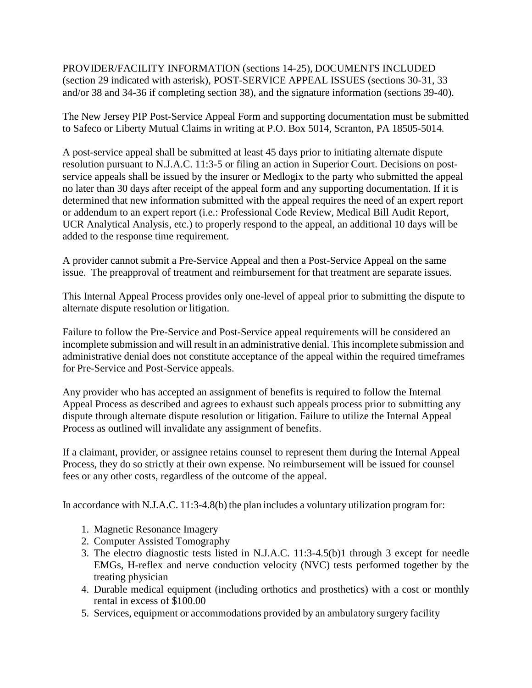PROVIDER/FACILITY INFORMATION (sections 14-25), DOCUMENTS INCLUDED (section 29 indicated with asterisk), POST-SERVICE APPEAL ISSUES (sections 30-31, 33 and/or 38 and 34-36 if completing section 38), and the signature information (sections 39-40).

The New Jersey PIP Post-Service Appeal Form and supporting documentation must be submitted to Safeco or Liberty Mutual Claims in writing at P.O. Box 5014, Scranton, PA 18505-5014.

A post-service appeal shall be submitted at least 45 days prior to initiating alternate dispute resolution pursuant to N.J.A.C. 11:3-5 or filing an action in Superior Court. Decisions on postservice appeals shall be issued by the insurer or Medlogix to the party who submitted the appeal no later than 30 days after receipt of the appeal form and any supporting documentation. If it is determined that new information submitted with the appeal requires the need of an expert report or addendum to an expert report (i.e.: Professional Code Review, Medical Bill Audit Report, UCR Analytical Analysis, etc.) to properly respond to the appeal, an additional 10 days will be added to the response time requirement.

A provider cannot submit a Pre-Service Appeal and then a Post-Service Appeal on the same issue. The preapproval of treatment and reimbursement for that treatment are separate issues.

This Internal Appeal Process provides only one-level of appeal prior to submitting the dispute to alternate dispute resolution or litigation.

Failure to follow the Pre-Service and Post-Service appeal requirements will be considered an incomplete submission and will result in an administrative denial. This incomplete submission and administrative denial does not constitute acceptance of the appeal within the required timeframes for Pre-Service and Post-Service appeals.

Any provider who has accepted an assignment of benefits is required to follow the Internal Appeal Process as described and agrees to exhaust such appeals process prior to submitting any dispute through alternate dispute resolution or litigation. Failure to utilize the Internal Appeal Process as outlined will invalidate any assignment of benefits.

If a claimant, provider, or assignee retains counsel to represent them during the Internal Appeal Process, they do so strictly at their own expense. No reimbursement will be issued for counsel fees or any other costs, regardless of the outcome of the appeal.

In accordance with N.J.A.C. 11:3-4.8(b) the plan includes a voluntary utilization program for:

- 1. Magnetic Resonance Imagery
- 2. Computer Assisted Tomography
- 3. The electro diagnostic tests listed in N.J.A.C. 11:3-4.5(b)1 through 3 except for needle EMGs, H-reflex and nerve conduction velocity (NVC) tests performed together by the treating physician
- 4. Durable medical equipment (including orthotics and prosthetics) with a cost or monthly rental in excess of \$100.00
- 5. Services, equipment or accommodations provided by an ambulatory surgery facility